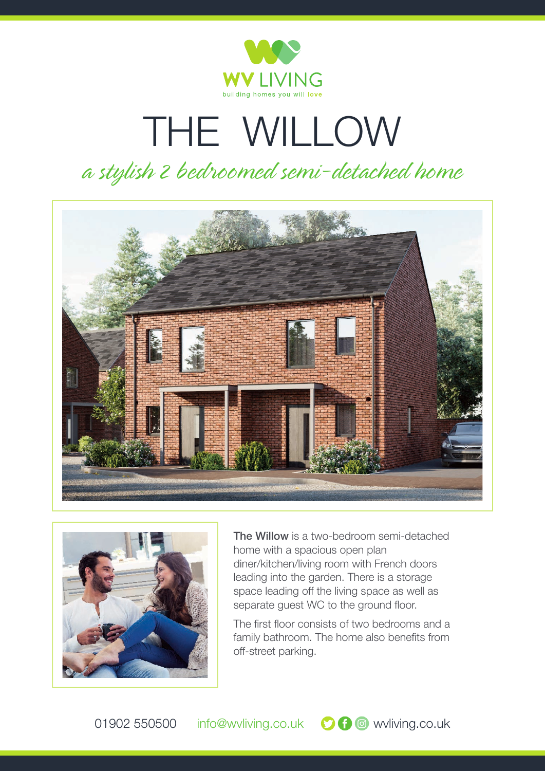

## THE WILLOW

## *a stylish 2 bedroomed semi-detached home*





**The Willow** is a two-bedroom semi-detached home with a spacious open plan diner/kitchen/living room with French doors leading into the garden. There is a storage space leading off the living space as well as separate guest WC to the ground floor.

The first floor consists of two bedrooms and a family bathroom. The home also benefits from off-street parking.